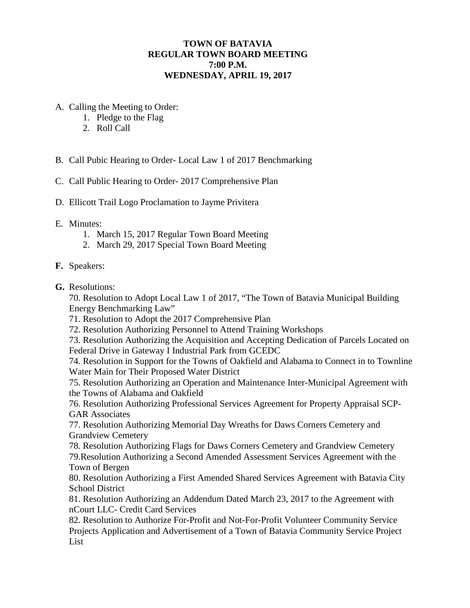# **TOWN OF BATAVIA REGULAR TOWN BOARD MEETING 7:00 P.M. WEDNESDAY, APRIL 19, 2017**

- A. Calling the Meeting to Order:
	- 1. Pledge to the Flag
	- 2. Roll Call
- B. Call Pubic Hearing to Order- Local Law 1 of 2017 Benchmarking
- C. Call Public Hearing to Order- 2017 Comprehensive Plan
- D. Ellicott Trail Logo Proclamation to Jayme Privitera

#### E. Minutes:

- 1. March 15, 2017 Regular Town Board Meeting
- 2. March 29, 2017 Special Town Board Meeting

#### **F.** Speakers:

**G.** Resolutions:

70. Resolution to Adopt Local Law 1 of 2017, "The Town of Batavia Municipal Building Energy Benchmarking Law"

- 71. Resolution to Adopt the 2017 Comprehensive Plan
- 72. Resolution Authorizing Personnel to Attend Training Workshops

73. Resolution Authorizing the Acquisition and Accepting Dedication of Parcels Located on Federal Drive in Gateway I Industrial Park from GCEDC

74. Resolution in Support for the Towns of Oakfield and Alabama to Connect in to Townline Water Main for Their Proposed Water District

75. Resolution Authorizing an Operation and Maintenance Inter-Municipal Agreement with the Towns of Alabama and Oakfield

76. Resolution Authorizing Professional Services Agreement for Property Appraisal SCP-GAR Associates

77. Resolution Authorizing Memorial Day Wreaths for Daws Corners Cemetery and Grandview Cemetery

78. Resolution Authorizing Flags for Daws Corners Cemetery and Grandview Cemetery 79.Resolution Authorizing a Second Amended Assessment Services Agreement with the Town of Bergen

80. Resolution Authorizing a First Amended Shared Services Agreement with Batavia City School District

81. Resolution Authorizing an Addendum Dated March 23, 2017 to the Agreement with nCourt LLC- Credit Card Services

82. Resolution to Authorize For-Profit and Not-For-Profit Volunteer Community Service Projects Application and Advertisement of a Town of Batavia Community Service Project List